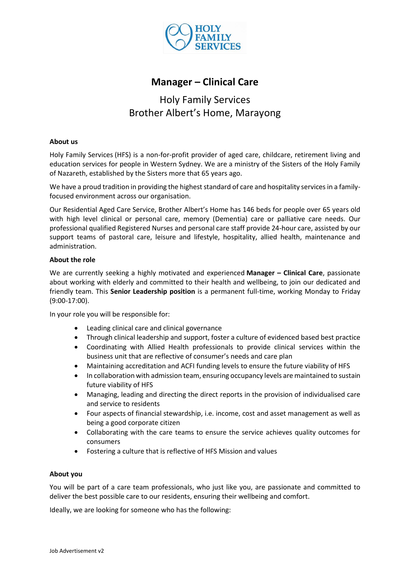

# **Manager – Clinical Care**

# Holy Family Services Brother Albert's Home, Marayong

#### **About us**

Holy Family Services (HFS) is a non-for-profit provider of [aged care,](http://www.holyfamilyservices.com.au/aged-care.aspx) childcare, retirement living and education services for people in Western Sydney. We are a ministry of the Sisters of the Holy Family of Nazareth, established by the Sisters more that 65 years ago.

We have a proud tradition in providing the highest standard of care and hospitality services in a familyfocused environment across our organisation.

Our Residential Aged Care Service, Brother Albert's Home has 146 beds for people over 65 years old with high level clinical or personal care, memory (Dementia) care or palliative care needs. Our professional qualified Registered Nurses and personal care staff provide 24-hour care, assisted by our support teams of pastoral care, leisure and lifestyle, hospitality, allied health, maintenance and administration.

#### **About the role**

We are currently seeking a highly motivated and experienced **Manager – Clinical Care**, passionate about working with elderly and committed to their health and wellbeing, to join our dedicated and friendly team. This **Senior Leadership position** is a permanent full-time, working Monday to Friday (9:00-17:00).

In your role you will be responsible for:

- Leading clinical care and clinical governance
- Through clinical leadership and support, foster a culture of evidenced based best practice
- Coordinating with Allied Health professionals to provide clinical services within the business unit that are reflective of consumer's needs and care plan
- Maintaining accreditation and ACFI funding levels to ensure the future viability of HFS
- In collaboration with admission team, ensuring occupancy levels are maintained to sustain future viability of HFS
- Managing, leading and directing the direct reports in the provision of individualised care and service to residents
- Four aspects of financial stewardship, i.e. income, cost and asset management as well as being a good corporate citizen
- Collaborating with the care teams to ensure the service achieves quality outcomes for consumers
- Fostering a culture that is reflective of HFS Mission and values

#### **About you**

You will be part of a care team professionals, who just like you, are passionate and committed to deliver the best possible care to our residents, ensuring their wellbeing and comfort.

Ideally, we are looking for someone who has the following: